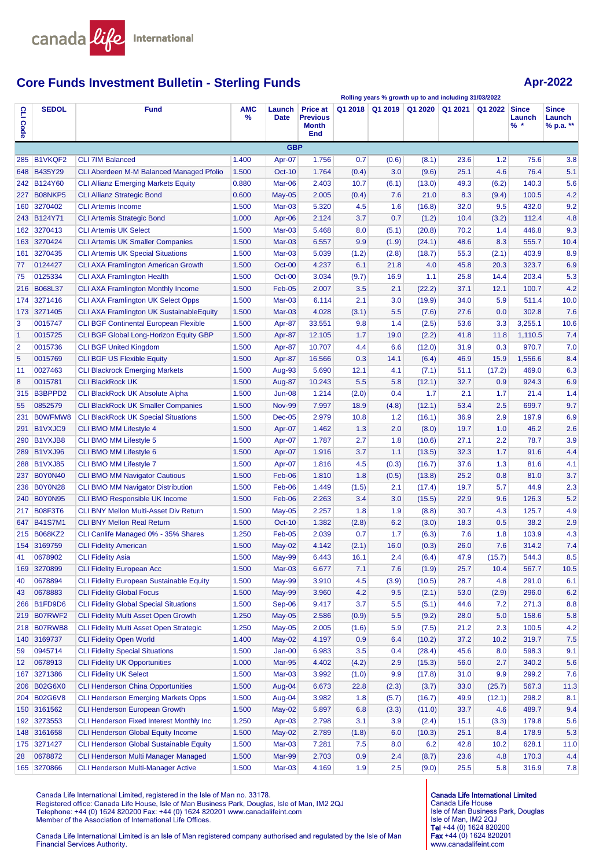

# **Core Funds Investment Bulletin - Sterling Funds Apr-2022 Apr-2022**

**Rolling years % growth up to and including 31/03/2022**

| S<br>Code      | <b>SEDOL</b>   | <b>Fund</b>                                     | AMC<br>% | Launch<br><b>Date</b> | <b>Price at</b><br><b>Previous</b><br><b>Month</b><br><b>End</b> | Q1 2018 | Q1 2019 | Q1 2020 | Q1 2021 | Q1 2022 | <b>Since</b><br>Launch<br>$%$ * | <b>Since</b><br>Launch<br>% p.a. ** |
|----------------|----------------|-------------------------------------------------|----------|-----------------------|------------------------------------------------------------------|---------|---------|---------|---------|---------|---------------------------------|-------------------------------------|
|                |                |                                                 |          | <b>GBP</b>            |                                                                  |         |         |         |         |         |                                 |                                     |
| 285            | <b>B1VKQF2</b> | <b>CLI 7IM Balanced</b>                         | 1.400    | Apr-07                | 1.756                                                            | 0.7     | (0.6)   | (8.1)   | 23.6    | 1.2     | 75.6                            | 3.8                                 |
|                | 648 B435Y29    | <b>CLI Aberdeen M-M Balanced Managed Pfolio</b> | 1.500    | <b>Oct-10</b>         | 1.764                                                            | (0.4)   | 3.0     | (9.6)   | 25.1    | 4.6     | 76.4                            | 5.1                                 |
|                | 242 B124Y60    | <b>CLI Allianz Emerging Markets Equity</b>      | 0.880    | Mar-06                | 2.403                                                            | 10.7    | (6.1)   | (13.0)  | 49.3    | (6.2)   | 140.3                           | 5.6                                 |
|                | 227 B08NKP5    | <b>CLI Allianz Strategic Bond</b>               | 0.600    | <b>May-05</b>         | 2.005                                                            | (0.4)   | 7.6     | 21.0    | 8.3     | (9.4)   | 100.5                           | 4.2                                 |
| 160            | 3270402        | <b>CLI Artemis Income</b>                       | 1.500    | Mar-03                | 5.320                                                            | 4.5     | 1.6     | (16.8)  | 32.0    | 9.5     | 432.0                           | 9.2                                 |
|                | 243 B124Y71    | <b>CLI Artemis Strategic Bond</b>               | 1.000    | Apr-06                | 2.124                                                            | 3.7     | 0.7     | (1.2)   | 10.4    | (3.2)   | 112.4                           | 4.8                                 |
|                | 162 3270413    | <b>CLI Artemis UK Select</b>                    | 1.500    | Mar-03                | 5.468                                                            | 8.0     | (5.1)   | (20.8)  | 70.2    | 1.4     | 446.8                           | 9.3                                 |
|                | 163 3270424    | <b>CLI Artemis UK Smaller Companies</b>         | 1.500    | $Mar-03$              | 6.557                                                            | 9.9     | (1.9)   | (24.1)  | 48.6    | 8.3     | 555.7                           | 10.4                                |
| 161            | 3270435        | <b>CLI Artemis UK Special Situations</b>        | 1.500    | $Mar-03$              | 5.039                                                            | (1.2)   | (2.8)   | (18.7)  | 55.3    | (2.1)   | 403.9                           | 8.9                                 |
| 77             | 0124427        | <b>CLI AXA Framlington American Growth</b>      | 1.500    | $Oct-00$              | 4.237                                                            | 6.1     | 21.8    | 4.0     | 45.8    | 20.3    | 323.7                           | 6.9                                 |
| 75             | 0125334        | <b>CLI AXA Framlington Health</b>               | 1.500    | Oct-00                | 3.034                                                            | (9.7)   | 16.9    | 1.1     | 25.8    | 14.4    | 203.4                           | 5.3                                 |
|                | 216 B068L37    | <b>CLI AXA Framlington Monthly Income</b>       | 1.500    | Feb-05                | 2.007                                                            | 3.5     | 2.1     | (22.2)  | 37.1    | 12.1    | 100.7                           | 4.2                                 |
| 174            | 3271416        | <b>CLI AXA Framlington UK Select Opps</b>       | 1.500    | $Mar-03$              | 6.114                                                            | 2.1     | 3.0     | (19.9)  | 34.0    | 5.9     | 511.4                           | 10.0                                |
| 173            | 3271405        | <b>CLI AXA Framlington UK SustainableEquity</b> | 1.500    | Mar-03                | 4.028                                                            | (3.1)   | 5.5     | (7.6)   | 27.6    | 0.0     | 302.8                           | 7.6                                 |
| 3              | 0015747        | <b>CLI BGF Continental European Flexible</b>    | 1.500    | Apr-87                | 33.551                                                           | 9.8     | 1.4     | (2.5)   | 53.6    | 3.3     | 3,255.1                         | 10.6                                |
| $\mathbf{1}$   | 0015725        | CLI BGF Global Long-Horizon Equity GBP          | 1.500    | Apr-87                | 12.105                                                           | 1.7     | 19.0    | (2.2)   | 41.8    | 11.8    | 1,110.5                         | 7.4                                 |
| $\overline{2}$ | 0015736        | <b>CLI BGF United Kingdom</b>                   | 1.500    | Apr-87                | 10.707                                                           | 4.4     | 6.6     | (12.0)  | 31.9    | 0.3     | 970.7                           | 7.0                                 |
| 5              | 0015769        | <b>CLI BGF US Flexible Equity</b>               | 1.500    | Apr-87                | 16.566                                                           | 0.3     | 14.1    | (6.4)   | 46.9    | 15.9    | 1,556.6                         | 8.4                                 |
| 11             | 0027463        | <b>CLI Blackrock Emerging Markets</b>           | 1.500    | Aug-93                | 5.690                                                            | 12.1    | 4.1     | (7.1)   | 51.1    | (17.2)  | 469.0                           | 6.3                                 |
| 8              | 0015781        | <b>CLI BlackRock UK</b>                         | 1.500    | Aug-87                | 10.243                                                           | 5.5     | 5.8     | (12.1)  | 32.7    | 0.9     | 924.3                           | 6.9                                 |
| 315            | B3BPPD2        | <b>CLI BlackRock UK Absolute Alpha</b>          | 1.500    | <b>Jun-08</b>         | 1.214                                                            | (2.0)   | 0.4     | 1.7     | 2.1     | 1.7     | 21.4                            | 1.4                                 |
| 55             | 0852579        | <b>CLI BlackRock UK Smaller Companies</b>       | 1.500    | <b>Nov-99</b>         | 7.997                                                            | 18.9    | (4.8)   | (12.1)  | 53.4    | 2.5     | 699.7                           | 9.7                                 |
| 231            | B0WFMW8        | <b>CLI BlackRock UK Special Situations</b>      | 1.500    | <b>Dec-05</b>         | 2.979                                                            | 10.8    | 1.2     | (16.1)  | 36.9    | 2.9     | 197.9                           | 6.9                                 |
| 291            | B1VXJC9        | <b>CLI BMO MM Lifestyle 4</b>                   | 1.500    | Apr-07                | 1.462                                                            | 1.3     | 2.0     | (8.0)   | 19.7    | 1.0     | 46.2                            | 2.6                                 |
|                | 290 B1VXJB8    | CLI BMO MM Lifestyle 5                          | 1.500    | Apr-07                | 1.787                                                            | 2.7     | 1.8     | (10.6)  | 27.1    | 2.2     | 78.7                            | 3.9                                 |
|                | 289 B1VXJ96    | <b>CLI BMO MM Lifestyle 6</b>                   | 1.500    | Apr-07                | 1.916                                                            | 3.7     | 1.1     | (13.5)  | 32.3    | 1.7     | 91.6                            | 4.4                                 |
| 288            | <b>B1VXJ85</b> | CLI BMO MM Lifestyle 7                          | 1.500    | Apr-07                | 1.816                                                            | 4.5     | (0.3)   | (16.7)  | 37.6    | 1.3     | 81.6                            | 4.1                                 |
| 237            | <b>B0Y0N40</b> | <b>CLI BMO MM Navigator Cautious</b>            | 1.500    | Feb-06                | 1.810                                                            | 1.8     | (0.5)   | (13.8)  | 25.2    | 0.8     | 81.0                            | 3.7                                 |
| 236            | <b>B0Y0N28</b> | <b>CLI BMO MM Navigator Distribution</b>        | 1.500    | Feb-06                | 1.449                                                            | (1.5)   | 2.1     | (17.4)  | 19.7    | 5.7     | 44.9                            | 2.3                                 |
| 240            | <b>B0Y0N95</b> | <b>CLI BMO Responsible UK Income</b>            | 1.500    | Feb-06                | 2.263                                                            | 3.4     | 3.0     | (15.5)  | 22.9    | 9.6     | 126.3                           | 5.2                                 |
| 217            | <b>B08F3T6</b> | <b>CLI BNY Mellon Multi-Asset Div Return</b>    | 1.500    | <b>May-05</b>         | 2.257                                                            | 1.8     | 1.9     | (8.8)   | 30.7    | 4.3     | 125.7                           | 4.9                                 |
|                | 647 B41S7M1    | <b>CLI BNY Mellon Real Return</b>               | 1.500    | <b>Oct-10</b>         | 1.382                                                            | (2.8)   | 6.2     | (3.0)   | 18.3    | 0.5     | 38.2                            | 2.9                                 |
|                | 215 B068KZ2    | CLI Canlife Managed 0% - 35% Shares             | 1.250    | $Feb-05$              | 2.039                                                            | 0.7     | 1.7     | (6.3)   | 7.6     | 1.8     | 103.9                           | 4.3                                 |
|                | 154 3169759    | <b>CLI Fidelity American</b>                    | 1.500    | $May-02$              | 4.142                                                            | (2.1)   | 16.0    | (0.3)   | 26.0    | 7.6     | 314.2                           | 7.4                                 |
| 41             | 0678902        | <b>CLI Fidelity Asia</b>                        | 1.500    | May-99                | 6.443                                                            | 16.1    | 2.4     | (6.4)   | 47.9    | (15.7)  | 544.3                           | 8.5                                 |
| 169            | 3270899        | <b>CLI Fidelity European Acc</b>                | 1.500    | Mar-03                | 6.677                                                            | 7.1     | 7.6     | (1.9)   | 25.7    | 10.4    | 567.7                           | 10.5                                |
| 40             | 0678894        | <b>CLI Fidelity European Sustainable Equity</b> | 1.500    | <b>May-99</b>         | 3.910                                                            | 4.5     | (3.9)   | (10.5)  | 28.7    | 4.8     | 291.0                           | 6.1                                 |
| 43             | 0678883        | <b>CLI Fidelity Global Focus</b>                | 1.500    | <b>May-99</b>         | 3.960                                                            | 4.2     | 9.5     | (2.1)   | 53.0    | (2.9)   | 296.0                           | 6.2                                 |
| 266            | B1FD9D6        | <b>CLI Fidelity Global Special Situations</b>   | 1.500    | Sep-06                | 9.417                                                            | 3.7     | 5.5     | (5.1)   | 44.6    | 7.2     | 271.3                           | 8.8                                 |
|                | 219 B07RWF2    | CLI Fidelity Multi Asset Open Growth            | 1.250    | $May-05$              | 2.586                                                            | (0.9)   | 5.5     | (9.2)   | 28.0    | 5.0     | 158.6                           | 5.8                                 |
| 218            | B07RWB8        | CLI Fidelity Multi Asset Open Strategic         | 1.250    | $May-05$              | 2.005                                                            | (1.6)   | 5.9     | (7.5)   | 21.2    | 2.3     | 100.5                           | 4.2                                 |
|                | 140 3169737    | <b>CLI Fidelity Open World</b>                  | 1.400    | $May-02$              | 4.197                                                            | 0.9     | 6.4     | (10.2)  | 37.2    | 10.2    | 319.7                           | 7.5                                 |
| 59             | 0945714        | <b>CLI Fidelity Special Situations</b>          | 1.500    | $Jan-00$              | 6.983                                                            | 3.5     | 0.4     | (28.4)  | 45.6    | 8.0     | 598.3                           | 9.1                                 |
| 12             | 0678913        | <b>CLI Fidelity UK Opportunities</b>            | 1.000    | <b>Mar-95</b>         | 4.402                                                            | (4.2)   | 2.9     | (15.3)  | 56.0    | 2.7     | 340.2                           | 5.6                                 |
| 167            | 3271386        | <b>CLI Fidelity UK Select</b>                   | 1.500    | Mar-03                | 3.992                                                            | (1.0)   | 9.9     | (17.8)  | 31.0    | 9.9     | 299.2                           | 7.6                                 |
|                | 206 B02G6X0    | <b>CLI Henderson China Opportunities</b>        | 1.500    | Aug-04                | 6.673                                                            | 22.8    | (2.3)   | (3.7)   | 33.0    | (25.7)  | 567.3                           | 11.3                                |
|                | 204 B02G6V8    | <b>CLI Henderson Emerging Markets Opps</b>      | 1.500    | Aug-04                | 3.982                                                            | 1.8     | (5.7)   | (16.7)  | 49.9    | (12.1)  | 298.2                           | 8.1                                 |
|                | 150 3161562    | <b>CLI Henderson European Growth</b>            | 1.500    | $May-02$              | 5.897                                                            | 6.8     | (3.3)   | (11.0)  | 33.7    | 4.6     | 489.7                           | 9.4                                 |
|                | 192 3273553    | CLI Henderson Fixed Interest Monthly Inc        | 1.250    | Apr-03                | 2.798                                                            | 3.1     | 3.9     | (2.4)   | 15.1    | (3.3)   | 179.8                           | 5.6                                 |
|                | 148 3161658    | CLI Henderson Global Equity Income              | 1.500    | $May-02$              | 2.789                                                            | (1.8)   | 6.0     | (10.3)  | 25.1    | 8.4     | 178.9                           | 5.3                                 |
|                | 175 3271427    | <b>CLI Henderson Global Sustainable Equity</b>  | 1.500    | $Mar-03$              | 7.281                                                            | 7.5     | 8.0     | 6.2     | 42.8    | 10.2    | 628.1                           | 11.0                                |
| 28             | 0678872        | <b>CLI Henderson Multi Manager Managed</b>      | 1.500    | Mar-99                | 2.703                                                            | 0.9     | 2.4     | (8.7)   | 23.6    | 4.8     | 170.3                           | 4.4                                 |
|                | 165 3270866    | <b>CLI Henderson Multi-Manager Active</b>       | 1.500    | Mar-03                | 4.169                                                            | 1.9     | 2.5     | (9.0)   | 25.5    | 5.8     | 316.9                           | 7.8                                 |

Canada Life International Limited, registered in the Isle of Man no. 33178. Registered office: Canada Life House, Isle of Man Business Park, Douglas, Isle of Man, IM2 2QJ<br>Telephone: +44 (0) 1624 820200 Fax: +44 (0) 1624 820201 www.canadalifeint.com<br>Member of the Association of International Life O

Canada Life International Limited is an Isle of Man registered company authorised and regulated by the Isle of Man Financial Services Authority.

Canada Life International Limited Canada Life House Isle of Man Business Park, Douglas Isle of Man, IM2 2QJ<br>**Tel** +44 (0) 1624 820200 Fax +44 (0) 1624 820201 www.canadalifeint.com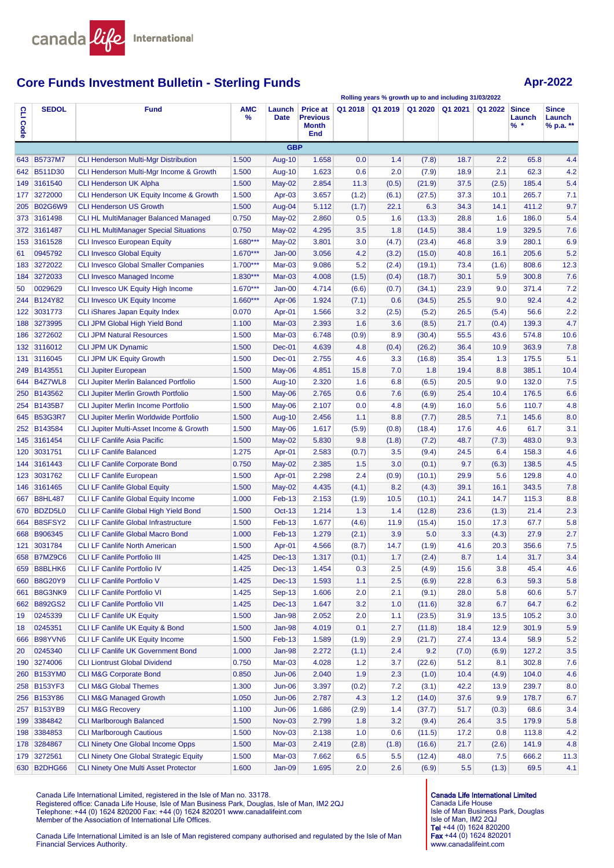

# **Core Funds Investment Bulletin - Sterling Funds Apr-2022 Apr-2022**

**Rolling years % growth up to and including 31/03/2022**

| S<br>Code | <b>SEDOL</b>   | <b>Fund</b>                                        | <b>AMC</b><br>% | Launch<br><b>Date</b> | <b>Price at</b><br><b>Previous</b><br><b>Month</b><br>End | Q1 2018 | Q1 2019 | Q1 2020 | Q1 2021 | Q1 2022 | <b>Since</b><br>Launch<br>$%$ * | <b>Since</b><br>Launch<br>% p.a. ** |
|-----------|----------------|----------------------------------------------------|-----------------|-----------------------|-----------------------------------------------------------|---------|---------|---------|---------|---------|---------------------------------|-------------------------------------|
|           |                |                                                    |                 | <b>GBP</b>            |                                                           |         |         |         |         |         |                                 |                                     |
|           | 643 B5737M7    | <b>CLI Henderson Multi-Mgr Distribution</b>        | 1.500           | <b>Aug-10</b>         | 1.658                                                     | 0.0     | 1.4     | (7.8)   | 18.7    | 2.2     | 65.8                            | 4.4                                 |
|           | 642 B511D30    | CLI Henderson Multi-Mgr Income & Growth            | 1.500           | <b>Aug-10</b>         | 1.623                                                     | 0.6     | 2.0     | (7.9)   | 18.9    | 2.1     | 62.3                            | 4.2                                 |
|           | 149 3161540    | <b>CLI Henderson UK Alpha</b>                      | 1.500           | $May-02$              | 2.854                                                     | 11.3    | (0.5)   | (21.9)  | 37.5    | (2.5)   | 185.4                           | 5.4                                 |
| 177       | 3272000        | <b>CLI Henderson UK Equity Income &amp; Growth</b> | 1.500           | Apr-03                | 3.657                                                     | (1.2)   | (6.1)   | (27.5)  | 37.3    | 10.1    | 265.7                           | 7.1                                 |
|           | 205 B02G6W9    | <b>CLI Henderson US Growth</b>                     | 1.500           | Aug-04                | 5.112                                                     | (1.7)   | 22.1    | 6.3     | 34.3    | 14.1    | 411.2                           | 9.7                                 |
|           | 373 3161498    | <b>CLI HL MultiManager Balanced Managed</b>        | 0.750           | $May-02$              | 2.860                                                     | 0.5     | 1.6     | (13.3)  | 28.8    | 1.6     | 186.0                           | 5.4                                 |
|           | 372 3161487    | <b>CLI HL MultiManager Special Situations</b>      | 0.750           | $May-02$              | 4.295                                                     | 3.5     | 1.8     | (14.5)  | 38.4    | 1.9     | 329.5                           | 7.6                                 |
|           | 153 3161528    | <b>CLI Invesco European Equity</b>                 | 1.680***        | $May-02$              | 3.801                                                     | 3.0     | (4.7)   | (23.4)  | 46.8    | 3.9     | 280.1                           | 6.9                                 |
| 61        | 0945792        | <b>CLI Invesco Global Equity</b>                   | $1.670***$      | $Jan-00$              | 3.056                                                     | 4.2     | (3.2)   | (15.0)  | 40.8    | 16.1    | 205.6                           | 5.2                                 |
| 183       | 3272022        | <b>CLI Invesco Global Smaller Companies</b>        | $1.700***$      | $Mar-03$              | 9.086                                                     | 5.2     | (2.4)   | (19.1)  | 73.4    | (1.6)   | 808.6                           | 12.3                                |
| 184       | 3272033        | <b>CLI Invesco Managed Income</b>                  | $1.830***$      | Mar-03                | 4.008                                                     | (1.5)   | (0.4)   | (18.7)  | 30.1    | 5.9     | 300.8                           | 7.6                                 |
| 50        | 0029629        | CLI Invesco UK Equity High Income                  | $1.670***$      | Jan-00                | 4.714                                                     | (6.6)   | (0.7)   | (34.1)  | 23.9    | 9.0     | 371.4                           | 7.2                                 |
|           | 244 B124Y82    | <b>CLI Invesco UK Equity Income</b>                | $1.660***$      | Apr-06                | 1.924                                                     | (7.1)   | 0.6     | (34.5)  | 25.5    | 9.0     | 92.4                            | 4.2                                 |
|           | 122 3031773    | <b>CLI iShares Japan Equity Index</b>              | 0.070           | Apr-01                | 1.566                                                     | 3.2     | (2.5)   | (5.2)   | 26.5    | (5.4)   | 56.6                            | 2.2                                 |
|           | 188 3273995    | <b>CLI JPM Global High Yield Bond</b>              | 1.100           | $Mar-03$              | 2.393                                                     | 1.6     | 3.6     | (8.5)   | 21.7    | (0.4)   | 139.3                           | 4.7                                 |
| 186       | 3272602        | <b>CLI JPM Natural Resources</b>                   | 1.500           | Mar-03                | 6.748                                                     | (0.9)   | 8.9     | (30.4)  | 55.5    | 43.6    | 574.8                           | 10.6                                |
|           | 132 3116012    | <b>CLI JPM UK Dynamic</b>                          | 1.500           | Dec-01                | 4.639                                                     | 4.8     | (0.4)   | (26.2)  | 36.4    | 10.9    | 363.9                           | 7.8                                 |
| 131       | 3116045        | <b>CLI JPM UK Equity Growth</b>                    | 1.500           | Dec-01                | 2.755                                                     | 4.6     | 3.3     | (16.8)  | 35.4    | 1.3     | 175.5                           | 5.1                                 |
|           | 249 B143551    | <b>CLI Jupiter European</b>                        | 1.500           | $May-06$              | 4.851                                                     | 15.8    | 7.0     | 1.8     | 19.4    | 8.8     | 385.1                           | 10.4                                |
|           | 644 B4Z7WL8    | <b>CLI Jupiter Merlin Balanced Portfolio</b>       | 1.500           | Aug-10                | 2.320                                                     | 1.6     | 6.8     | (6.5)   | 20.5    | 9.0     | 132.0                           | 7.5                                 |
|           | 250 B143562    | <b>CLI Jupiter Merlin Growth Portfolio</b>         | 1.500           | $May-06$              | 2.765                                                     | 0.6     | 7.6     | (6.9)   | 25.4    | 10.4    | 176.5                           | 6.6                                 |
|           | 254 B1435B7    | <b>CLI Jupiter Merlin Income Portfolio</b>         | 1.500           | May-06                | 2.107                                                     | 0.0     | 4.8     | (4.9)   | 16.0    | 5.6     | 110.7                           | 4.8                                 |
|           | 645 B53G3R7    | <b>CLI Jupiter Merlin Worldwide Portfolio</b>      | 1.500           | Aug-10                | 2.456                                                     | 1.1     | 8.8     | (7.7)   | 28.5    | 7.1     | 145.6                           | 8.0                                 |
|           | 252 B143584    | CLI Jupiter Multi-Asset Income & Growth            | 1.500           | May-06                | 1.617                                                     | (5.9)   | (0.8)   | (18.4)  | 17.6    | 4.6     | 61.7                            | 3.1                                 |
|           | 145 3161454    | <b>CLI LF Canlife Asia Pacific</b>                 | 1.500           | May-02                | 5.830                                                     | 9.8     | (1.8)   | (7.2)   | 48.7    | (7.3)   | 483.0                           | 9.3                                 |
| 120       | 3031751        | <b>CLI LF Canlife Balanced</b>                     | 1.275           | Apr-01                | 2.583                                                     | (0.7)   | 3.5     | (9.4)   | 24.5    | 6.4     | 158.3                           | 4.6                                 |
|           | 144 3161443    | <b>CLI LF Canlife Corporate Bond</b>               | 0.750           | May-02                | 2.385                                                     | 1.5     | 3.0     | (0.1)   | 9.7     | (6.3)   | 138.5                           | 4.5                                 |
|           | 123 3031762    | <b>CLI LF Canlife European</b>                     | 1.500           | Apr-01                | 2.298                                                     | 2.4     | (0.9)   | (10.1)  | 29.9    | 5.6     | 129.8                           | 4.0                                 |
|           | 146 3161465    | <b>CLI LF Canlife Global Equity</b>                | 1.500           | $May-02$              | 4.435                                                     | (4.1)   | 8.2     | (4.3)   | 39.1    | 16.1    | 343.5                           | 7.8                                 |
| 667       | <b>B8HL487</b> | <b>CLI LF Canlife Global Equity Income</b>         | 1.000           | Feb-13                | 2.153                                                     | (1.9)   | 10.5    | (10.1)  | 24.1    | 14.7    | 115.3                           | 8.8                                 |
|           | 670 BDZD5L0    | CLI LF Canlife Global High Yield Bond              | 1.500           | $Oct-13$              | 1.214                                                     | 1.3     | 1.4     | (12.8)  | 23.6    | (1.3)   | 21.4                            | 2.3                                 |
|           | 664 B8SFSY2    | <b>CLI LF Canlife Global Infrastructure</b>        | 1.500           | Feb-13                | 1.677                                                     | (4.6)   | 11.9    | (15.4)  | 15.0    | 17.3    | 67.7                            | 5.8                                 |
|           | 668 B906345    | <b>CLI LF Canlife Global Macro Bond</b>            | 1.000           | $Feb-13$              | 1.279                                                     | (2.1)   | 3.9     | 5.0     | 3.3     | (4.3)   | 27.9                            | 2.7                                 |
| 121       | 3031784        | <b>CLI LF Canlife North American</b>               | 1.500           | Apr-01                | 4.566                                                     | (8.7)   | 14.7    | (1.9)   | 41.6    | 20.3    | 356.6                           | 7.5                                 |
|           | 658 B7MZ9C6    | <b>CLI LF Canlife Portfolio III</b>                | 1.425           | <b>Dec-13</b>         | 1.317                                                     | (0.1)   | 1.7     | (2.4)   | 8.7     | 1.4     | 31.7                            | 3.4                                 |
| 659       | B8BLHK6        | <b>CLI LF Canlife Portfolio IV</b>                 | 1.425           | <b>Dec-13</b>         | 1.454                                                     | 0.3     | 2.5     | (4.9)   | 15.6    | 3.8     | 45.4                            | 4.6                                 |
| 660       | <b>B8G20Y9</b> | CLI LF Canlife Portfolio V                         | 1.425           | <b>Dec-13</b>         | 1.593                                                     | 1.1     | 2.5     | (6.9)   | 22.8    | 6.3     | 59.3                            | 5.8                                 |
| 661       | B8G3NK9        | <b>CLI LF Canlife Portfolio VI</b>                 | 1.425           | <b>Sep-13</b>         | 1.606                                                     | 2.0     | 2.1     | (9.1)   | 28.0    | 5.8     | 60.6                            | 5.7                                 |
| 662       | <b>B892GS2</b> | <b>CLI LF Canlife Portfolio VII</b>                | 1.425           | <b>Dec-13</b>         | 1.647                                                     | 3.2     | 1.0     | (11.6)  | 32.8    | 6.7     | 64.7                            | 6.2                                 |
| 19        | 0245339        | <b>CLI LF Canlife UK Equity</b>                    | 1.500           | Jan-98                | 2.052                                                     | 2.0     | 1.1     | (23.5)  | 31.9    | 13.5    | 105.2                           | 3.0                                 |
| 18        | 0245351        | CLI LF Canlife UK Equity & Bond                    | 1.500           | Jan-98                | 4.019                                                     | 0.1     | 2.7     | (11.8)  | 18.4    | 12.9    | 301.9                           | 5.9                                 |
|           | 666 B98YVN6    | CLI LF Canlife UK Equity Income                    | 1.500           | Feb-13                | 1.589                                                     | (1.9)   | 2.9     | (21.7)  | 27.4    | 13.4    | 58.9                            | 5.2                                 |
| 20        | 0245340        | <b>CLI LF Canlife UK Government Bond</b>           | 1.000           | <b>Jan-98</b>         | 2.272                                                     | (1.1)   | 2.4     | 9.2     | (7.0)   | (6.9)   | 127.2                           | 3.5                                 |
|           | 190 3274006    | <b>CLI Liontrust Global Dividend</b>               | 0.750           | Mar-03                | 4.028                                                     | 1.2     | 3.7     | (22.6)  | 51.2    | 8.1     | 302.8                           | 7.6                                 |
|           | 260 B153YM0    | <b>CLI M&amp;G Corporate Bond</b>                  | 0.850           | $Jun-06$              | 2.040                                                     | 1.9     | 2.3     | (1.0)   | 10.4    | (4.9)   | 104.0                           | 4.6                                 |
|           | 258 B153YF3    | <b>CLI M&amp;G Global Themes</b>                   | 1.300           | <b>Jun-06</b>         | 3.397                                                     | (0.2)   | 7.2     | (3.1)   | 42.2    | 13.9    | 239.7                           | 8.0                                 |
|           | 256 B153Y86    | <b>CLI M&amp;G Managed Growth</b>                  | 1.050           | <b>Jun-06</b>         | 2.787                                                     | 4.3     | 1.2     | (14.0)  | 37.6    | 9.9     | 178.7                           | 6.7                                 |
|           | 257 B153YB9    | <b>CLI M&amp;G Recovery</b>                        | 1.100           | <b>Jun-06</b>         | 1.686                                                     | (2.9)   | 1.4     | (37.7)  | 51.7    | (0.3)   | 68.6                            | 3.4                                 |
|           | 199 3384842    | <b>CLI Marlborough Balanced</b>                    | 1.500           | <b>Nov-03</b>         | 2.799                                                     | 1.8     | 3.2     | (9.4)   | 26.4    | 3.5     | 179.9                           | 5.8                                 |
|           | 198 3384853    | <b>CLI Marlborough Cautious</b>                    | 1.500           | <b>Nov-03</b>         | 2.138                                                     | 1.0     | 0.6     | (11.5)  | 17.2    | 0.8     | 113.8                           | 4.2                                 |
|           | 178 3284867    | CLI Ninety One Global Income Opps                  | 1.500           | Mar-03                | 2.419                                                     | (2.8)   | (1.8)   | (16.6)  | 21.7    | (2.6)   | 141.9                           | 4.8                                 |
|           | 179 3272561    | <b>CLI Ninety One Global Strategic Equity</b>      | 1.500           | Mar-03                | 7.662                                                     | 6.5     | 5.5     | (12.4)  | 48.0    | 7.5     | 666.2                           | $11.3$                              |
|           | 630 B2DHG66    | <b>CLI Ninety One Multi Asset Protector</b>        | 1.600           | $Jan-09$              | 1.695                                                     | 2.0     | 2.6     | (6.9)   | 5.5     | (1.3)   | 69.5                            | 4.1                                 |

Canada Life International Limited, registered in the Isle of Man no. 33178. Registered office: Canada Life House, Isle of Man Business Park, Douglas, Isle of Man, IM2 2QJ<br>Telephone: +44 (0) 1624 820200 Fax: +44 (0) 1624 820201 www.canadalifeint.com<br>Member of the Association of International Life O

Canada Life International Limited is an Isle of Man registered company authorised and regulated by the Isle of Man Financial Services Authority.

Canada Life International Limited Canada Life House Isle of Man Business Park, Douglas Isle of Man, IM2 2QJ<br>**Tel** +44 (0) 1624 820200 Fax +44 (0) 1624 820201 www.canadalifeint.com